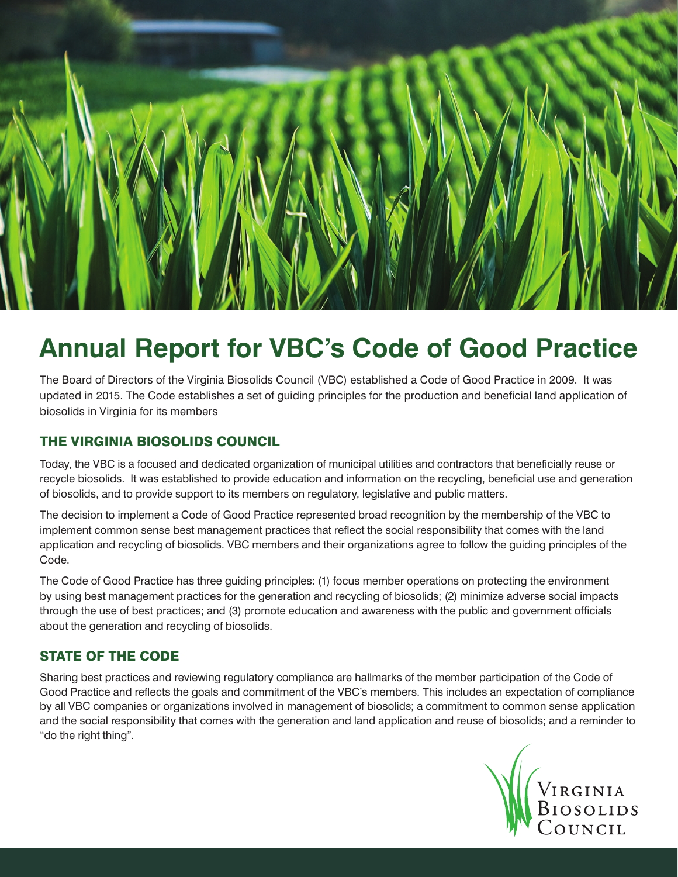

# **Annual Report for VBC's Code of Good Practice**

The Board of Directors of the Virginia Biosolids Council (VBC) established a Code of Good Practice in 2009. It was updated in 2015. The Code establishes a set of guiding principles for the production and beneficial land application of biosolids in Virginia for its members

### THE VIRGINIA BIOSOLIDS COUNCIL

Today, the VBC is a focused and dedicated organization of municipal utilities and contractors that beneficially reuse or recycle biosolids. It was established to provide education and information on the recycling, beneficial use and generation of biosolids, and to provide support to its members on regulatory, legislative and public matters.

The decision to implement a Code of Good Practice represented broad recognition by the membership of the VBC to implement common sense best management practices that reflect the social responsibility that comes with the land application and recycling of biosolids. VBC members and their organizations agree to follow the guiding principles of the Code.

The Code of Good Practice has three guiding principles: (1) focus member operations on protecting the environment by using best management practices for the generation and recycling of biosolids; (2) minimize adverse social impacts through the use of best practices; and (3) promote education and awareness with the public and government officials about the generation and recycling of biosolids.

#### STATE OF THE CODE

Sharing best practices and reviewing regulatory compliance are hallmarks of the member participation of the Code of Good Practice and reflects the goals and commitment of the VBC's members. This includes an expectation of compliance by all VBC companies or organizations involved in management of biosolids; a commitment to common sense application and the social responsibility that comes with the generation and land application and reuse of biosolids; and a reminder to "do the right thing".

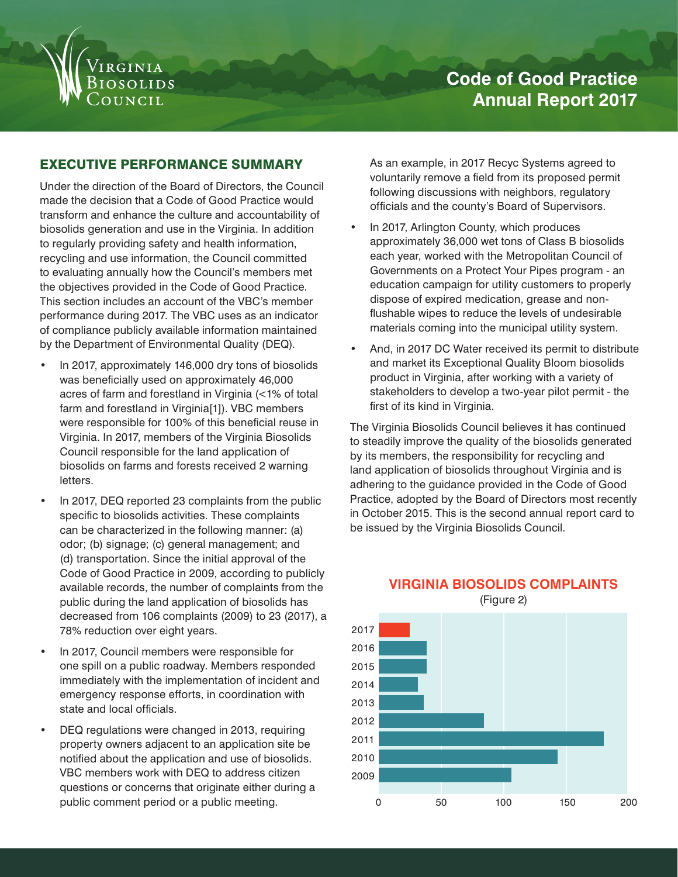

# **Code of Good Practice Annual Report 2017**

#### EXECUTIVE PERFORMANCE SUMMARY

Under the direction of the Board of Directors, the Council made the decision that a Code of Good Practice would transform and enhance the culture and accountability of biosolids generation and use in the Virginia. In addition to regularly providing safety and health information, recycling and use information, the Council committed to evaluating annually how the Council's members met the objectives provided in the Code of Good Practice. This section includes an account of the VBC's member performance during 2017. The VBC uses as an indicator of compliance publicly available information maintained by the Department of Environmental Quality (DEQ).

- In 2017, approximately 146,000 dry tons of biosolids was beneficially used on approximately 46,000 acres of farm and forestland in Virginia (<1% of total farm and forestland in Virginia[1]). VBC members were responsible for 100% of this beneficial reuse in Virginia. In 2017, members of the Virginia Biosolids Council responsible for the land application of biosolids on farms and forests received 2 warning letters.
- In 2017, DEQ reported 23 complaints from the public specific to biosolids activities. These complaints can be characterized in the following manner: (a) odor; (b) signage; (c) general management; and (d) transportation. Since the initial approval of the Code of Good Practice in 2009, according to publicly available records, the number of complaints from the public during the land application of biosolids has decreased from 106 complaints (2009) to 23 (2017), a 78% reduction over eight years.
- In 2017, Council members were responsible for one spill on a public roadway. Members responded immediately with the implementation of incident and emergency response efforts, in coordination with state and local officials.
- DEQ regulations were changed in 2013, requiring property owners adjacent to an application site be notified about the application and use of biosolids. VBC members work with DEQ to address citizen questions or concerns that originate either during a

As an example, in 2017 Recyc Systems agreed to voluntarily remove a field from its proposed permit following discussions with neighbors, regulatory officials and the county's Board of Supervisors.

- In 2017, Arlington County, which produces approximately 36,000 wet tons of Class B biosolids each year, worked with the Metropolitan Council of Governments on a Protect Your Pipes program - an education campaign for utility customers to properly dispose of expired medication, grease and nonflushable wipes to reduce the levels of undesirable materials coming into the municipal utility system.
- And, in 2017 DC Water received its permit to distribute and market its Exceptional Quality Bloom biosolids product in Virginia, after working with a variety of stakeholders to develop a two-year pilot permit - the first of its kind in Virginia.

The Virginia Biosolids Council believes it has continued to steadily improve the quality of the biosolids generated by its members, the responsibility for recycling and land application of biosolids throughout Virginia and is adhering to the guidance provided in the Code of Good Practice, adopted by the Board of Directors most recently in October 2015. This is the second annual report card to be issued by the Virginia Biosolids Council.



### **VIRGINIA BIOSOLIDS COMPLAINTS**